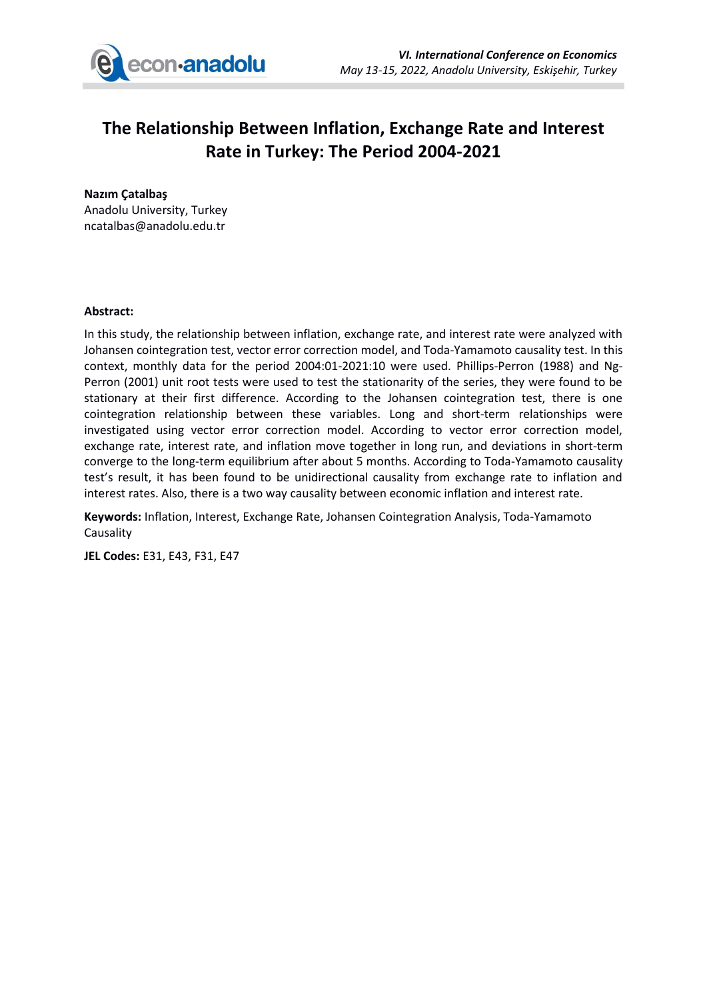

## **The Relationship Between Inflation, Exchange Rate and Interest Rate in Turkey: The Period 2004-2021**

**Nazım Çatalbaş** Anadolu University, Turkey ncatalbas@anadolu.edu.tr

## **Abstract:**

In this study, the relationship between inflation, exchange rate, and interest rate were analyzed with Johansen cointegration test, vector error correction model, and Toda-Yamamoto causality test. In this context, monthly data for the period 2004:01-2021:10 were used. Phillips-Perron (1988) and Ng-Perron (2001) unit root tests were used to test the stationarity of the series, they were found to be stationary at their first difference. According to the Johansen cointegration test, there is one cointegration relationship between these variables. Long and short-term relationships were investigated using vector error correction model. According to vector error correction model, exchange rate, interest rate, and inflation move together in long run, and deviations in short-term converge to the long-term equilibrium after about 5 months. According to Toda-Yamamoto causality test's result, it has been found to be unidirectional causality from exchange rate to inflation and interest rates. Also, there is a two way causality between economic inflation and interest rate.

**Keywords:** Inflation, Interest, Exchange Rate, Johansen Cointegration Analysis, Toda-Yamamoto Causality

**JEL Codes:** E31, E43, F31, E47